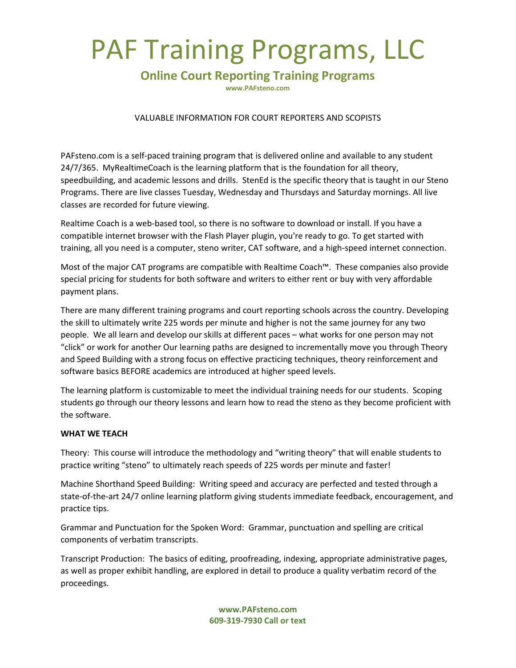# PAF Training Programs, LLC

# **Online Court Reporting Training Programs**

**www.PAFsteno.com**

## VALUABLE INFORMATION FOR COURT REPORTERS AND SCOPISTS

PAFsteno.com is a self-paced training program that is delivered online and available to any student 24/7/365. MyRealtimeCoach is the learning platform that is the foundation for all theory, speedbuilding, and academic lessons and drills. StenEd is the specific theory that is taught in our Steno Programs. There are live classes Tuesday, Wednesday and Thursdays and Saturday mornings. All live classes are recorded for future viewing.

Realtime Coach is a web-based tool, so there is no software to download or install. If you have a compatible internet browser with the Flash Player plugin, you're ready to go. To get started with training, all you need is a computer, steno writer, CAT software, and a high-speed internet connection.

Most of the major CAT programs are compatible with Realtime Coach™. These companies also provide special pricing for students for both software and writers to either rent or buy with very affordable payment plans.

There are many different training programs and court reporting schools across the country. Developing the skill to ultimately write 225 words per minute and higher is not the same journey for any two people. We all learn and develop our skills at different paces – what works for one person may not "click" or work for another Our learning paths are designed to incrementally move you through Theory and Speed Building with a strong focus on effective practicing techniques, theory reinforcement and software basics BEFORE academics are introduced at higher speed levels.

The learning platform is customizable to meet the individual training needs for our students. Scoping students go through our theory lessons and learn how to read the steno as they become proficient with the software.

## **WHAT WE TEACH**

Theory: This course will introduce the methodology and "writing theory" that will enable students to practice writing "steno" to ultimately reach speeds of 225 words per minute and faster!

Machine Shorthand Speed Building: Writing speed and accuracy are perfected and tested through a state-of-the-art 24/7 online learning platform giving students immediate feedback, encouragement, and practice tips.

Grammar and Punctuation for the Spoken Word: Grammar, punctuation and spelling are critical components of verbatim transcripts.

Transcript Production: The basics of editing, proofreading, indexing, appropriate administrative pages, as well as proper exhibit handling, are explored in detail to produce a quality verbatim record of the proceedings.

> **www.PAFsteno.com 609-319-7930 Call or text**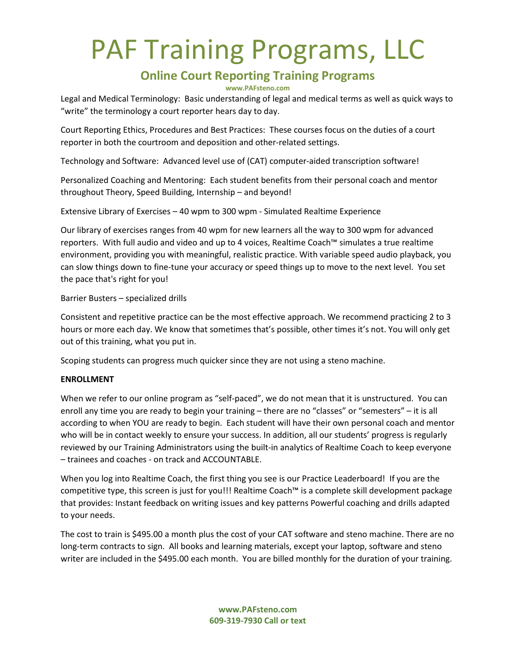# PAF Training Programs, LLC

# **Online Court Reporting Training Programs**

#### **www.PAFsteno.com**

Legal and Medical Terminology: Basic understanding of legal and medical terms as well as quick ways to "write" the terminology a court reporter hears day to day.

Court Reporting Ethics, Procedures and Best Practices: These courses focus on the duties of a court reporter in both the courtroom and deposition and other-related settings.

Technology and Software: Advanced level use of (CAT) computer-aided transcription software!

Personalized Coaching and Mentoring: Each student benefits from their personal coach and mentor throughout Theory, Speed Building, Internship – and beyond!

Extensive Library of Exercises – 40 wpm to 300 wpm - Simulated Realtime Experience

Our library of exercises ranges from 40 wpm for new learners all the way to 300 wpm for advanced reporters. With full audio and video and up to 4 voices, Realtime Coach™ simulates a true realtime environment, providing you with meaningful, realistic practice. With variable speed audio playback, you can slow things down to fine-tune your accuracy or speed things up to move to the next level. You set the pace that's right for you!

## Barrier Busters – specialized drills

Consistent and repetitive practice can be the most effective approach. We recommend practicing 2 to 3 hours or more each day. We know that sometimes that's possible, other times it's not. You will only get out of this training, what you put in.

Scoping students can progress much quicker since they are not using a steno machine.

# **ENROLLMENT**

When we refer to our online program as "self-paced", we do not mean that it is unstructured. You can enroll any time you are ready to begin your training – there are no "classes" or "semesters" – it is all according to when YOU are ready to begin. Each student will have their own personal coach and mentor who will be in contact weekly to ensure your success. In addition, all our students' progress is regularly reviewed by our Training Administrators using the built-in analytics of Realtime Coach to keep everyone – trainees and coaches - on track and ACCOUNTABLE.

When you log into Realtime Coach, the first thing you see is our Practice Leaderboard! If you are the competitive type, this screen is just for you!!! Realtime Coach™ is a complete skill development package that provides: Instant feedback on writing issues and key patterns Powerful coaching and drills adapted to your needs.

The cost to train is \$495.00 a month plus the cost of your CAT software and steno machine. There are no long-term contracts to sign. All books and learning materials, except your laptop, software and steno writer are included in the \$495.00 each month. You are billed monthly for the duration of your training.

> **www.PAFsteno.com 609-319-7930 Call or text**